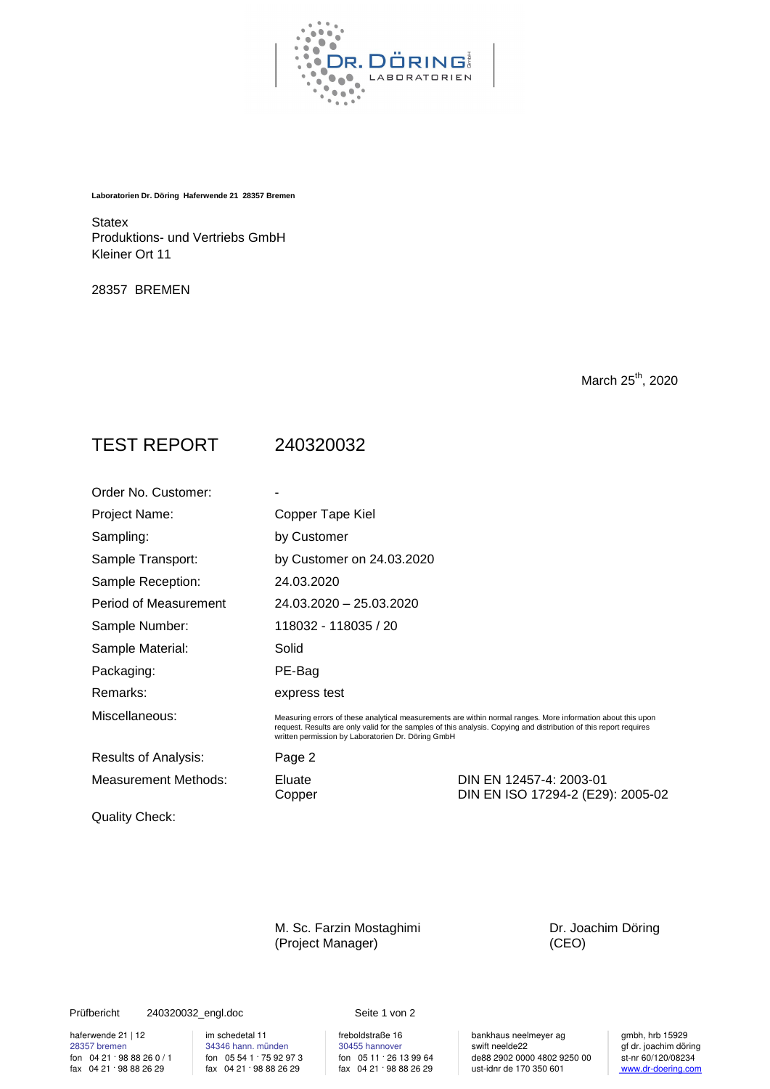

**Laboratorien Dr. Döring Haferwende 21 28357 Bremen**

**Statex** Produktions- und Vertriebs GmbH Kleiner Ort 11

28357 BREMEN

March 25<sup>th</sup>, 2020

## TEST REPORT 240320032

| Order No. Customer:         |                                                                                                                                                                                                                                                                                          |                                                              |  |  |
|-----------------------------|------------------------------------------------------------------------------------------------------------------------------------------------------------------------------------------------------------------------------------------------------------------------------------------|--------------------------------------------------------------|--|--|
| Project Name:               | Copper Tape Kiel                                                                                                                                                                                                                                                                         |                                                              |  |  |
| Sampling:                   | by Customer                                                                                                                                                                                                                                                                              |                                                              |  |  |
| Sample Transport:           | by Customer on 24.03.2020                                                                                                                                                                                                                                                                |                                                              |  |  |
| Sample Reception:           | 24.03.2020                                                                                                                                                                                                                                                                               |                                                              |  |  |
| Period of Measurement       | 24.03.2020 - 25.03.2020                                                                                                                                                                                                                                                                  |                                                              |  |  |
| Sample Number:              | 118032 - 118035 / 20                                                                                                                                                                                                                                                                     |                                                              |  |  |
| Sample Material:            | Solid                                                                                                                                                                                                                                                                                    |                                                              |  |  |
| Packaging:                  | PE-Bag                                                                                                                                                                                                                                                                                   |                                                              |  |  |
| Remarks:                    | express test                                                                                                                                                                                                                                                                             |                                                              |  |  |
| Miscellaneous:              | Measuring errors of these analytical measurements are within normal ranges. More information about this upon<br>request. Results are only valid for the samples of this analysis. Copying and distribution of this report requires<br>written permission by Laboratorien Dr. Döring GmbH |                                                              |  |  |
| Results of Analysis:        | Page 2                                                                                                                                                                                                                                                                                   |                                                              |  |  |
| <b>Measurement Methods:</b> | Eluate<br>Copper                                                                                                                                                                                                                                                                         | DIN EN 12457-4: 2003-01<br>DIN EN ISO 17294-2 (E29): 2005-02 |  |  |
| Quality Check:              |                                                                                                                                                                                                                                                                                          |                                                              |  |  |

M. Sc. Farzin Mostaghimi Dr. Joachim Döring (Project Manager) (CEO)

## Prüfbericht 240320032\_engl.doc Seite 1 von 2

fax  $04\,21\cdot98\,88\,26\,29$ 

haferwende 21 | 12 im schedetal 11 | freboldstraße 16 bankhaus neelmeyer ag | gmbh, hrb 15929<br>28357 bremen | 34346 hann. münden | 30455 hannover | swift neelde22 | af dr. joachim dör 28357 bremen 34346 hann. münden 34346 hann. münden 30455 hannover swift neelde22 gf dr. joachim döring<br>
fax 04 21 · 98 88 26 29 fax 04 21 · 98 88 26 29 fax 04 21 · 98 88 26 29 fax 04 21 · 98 88 26 29 fax 04 21 · 98 88 26 2 for 04 21 · 98 88 26 0 / 1 for 05 54 1 · 75 92 97 3 for 05 11 · 26 13 99 64 de88 2902 0000 4802 9250 00 st-nr 60/120/08234<br>fax 04 21 · 98 88 26 29 fax 04 21 · 98 88 26 29 fax 04 21 · 98 88 26 29 ust-idnr de 170 350 601 www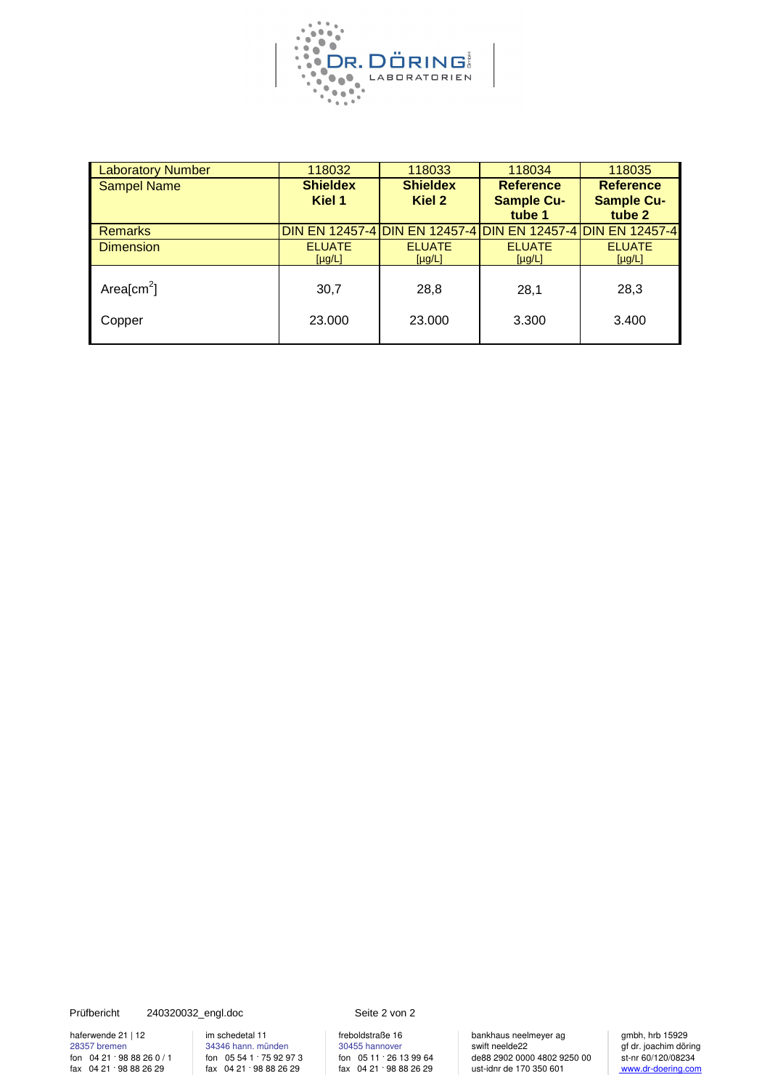

| <b>Laboratory Number</b> | 118032          | 118033          | 118034                                                       | 118035            |
|--------------------------|-----------------|-----------------|--------------------------------------------------------------|-------------------|
| <b>Sampel Name</b>       | <b>Shieldex</b> | <b>Shieldex</b> | <b>Reference</b>                                             | <b>Reference</b>  |
|                          | Kiel 1          | Kiel 2          | <b>Sample Cu-</b>                                            | <b>Sample Cu-</b> |
|                          |                 |                 | tube 1                                                       | tube 2            |
| <b>Remarks</b>           |                 |                 | 'DIN EN 12457-4 DIN EN 12457-4 DIN EN 12457-4 DIN EN 12457-4 |                   |
| <b>Dimension</b>         | <b>ELUATE</b>   | <b>ELUATE</b>   | <b>ELUATE</b>                                                | <b>ELUATE</b>     |
|                          | $[\mu g/L]$     | $[\mu g/L]$     | $[\mu g/L]$                                                  | $[\mu g/L]$       |
| Area[cm <sup>2</sup> ]   | 30,7            | 28,8            |                                                              | 28,3              |
|                          |                 |                 | 28,1                                                         |                   |
| Copper                   | 23.000          | 23.000          | 3.300                                                        | 3.400             |
|                          |                 |                 |                                                              |                   |

Prüfbericht 240320032\_engl.doc Seite 2 von 2

for 04 21 · 98 88 26 0 / 1<br>fax 04 21 · 98 88 26 29

haferwende 21 | 12 im schedetal 11 | freboldstraße 16 bankhaus neelmeyer ag | gmbh, hrb 15929<br>28357 bremen | 34346 hann. münden | 30455 hannover | swift neelde22 | gf dr. joachim döring 34346 hann. münden 30455 hannover swift neelde22 gf dr. joachim döring<br>
for 05 54 1  $\cdot$  75 92 97 3<br>
fax 04 21  $\cdot$  98 88 26 29<br>
fax 04 21  $\cdot$  98 88 26 29<br>
fax 04 21  $\cdot$  98 88 26 29<br>
fax 04 21  $\cdot$  98 88 26 29 fon 05 54 1 · 75 92 97 3 fon 05 11 · 26 13 99 64 de88 2902 0000 4802 9250 00 st-nr 60/120/08234<br>fax 04 21 · 98 88 26 29 de88 2902 0000 4802 9250 00 st-nr 60/120/08234